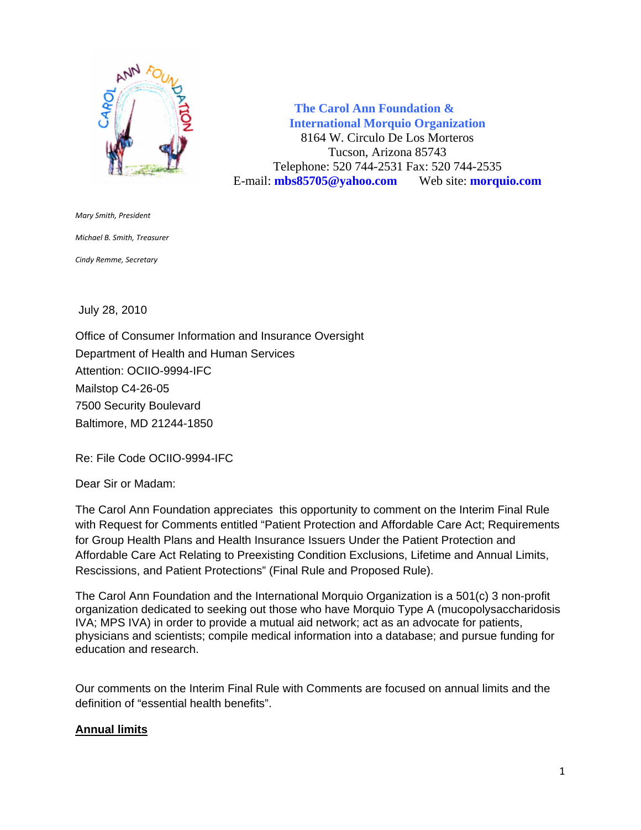

 **The Carol Ann Foundation & International Morquio Organization** 8164 W. Circulo De Los Morteros Tucson, Arizona 85743 Telephone: 520 744-2531 Fax: 520 744-2535 E-mail: **mbs85705@yahoo.com** Web site: **morquio.com**

*Mary Smith, President Michael B. Smith, Treasurer Cindy Remme, Secretary*

July 28, 2010

Office of Consumer Information and Insurance Oversight Department of Health and Human Services Attention: OCIIO-9994-IFC Mailstop C4-26-05 7500 Security Boulevard Baltimore, MD 21244-1850

Re: File Code OCIIO-9994-IFC

Dear Sir or Madam:

The Carol Ann Foundation appreciates this opportunity to comment on the Interim Final Rule with Request for Comments entitled "Patient Protection and Affordable Care Act; Requirements for Group Health Plans and Health Insurance Issuers Under the Patient Protection and Affordable Care Act Relating to Preexisting Condition Exclusions, Lifetime and Annual Limits, Rescissions, and Patient Protections" (Final Rule and Proposed Rule).

The Carol Ann Foundation and the International Morquio Organization is a 501(c) 3 non-profit organization dedicated to seeking out those who have Morquio Type A (mucopolysaccharidosis IVA; MPS IVA) in order to provide a mutual aid network; act as an advocate for patients, physicians and scientists; compile medical information into a database; and pursue funding for education and research.

Our comments on the Interim Final Rule with Comments are focused on annual limits and the definition of "essential health benefits".

## **Annual limits**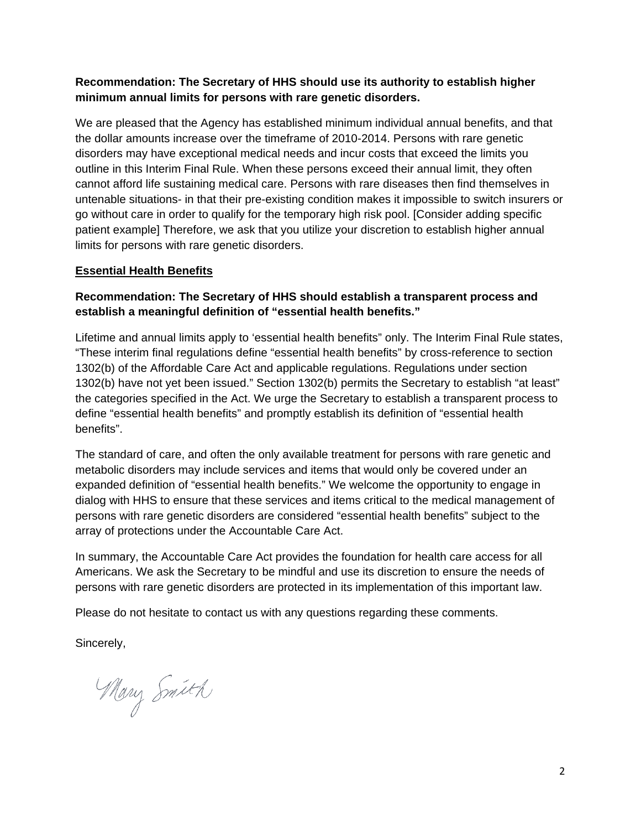## **Recommendation: The Secretary of HHS should use its authority to establish higher minimum annual limits for persons with rare genetic disorders.**

We are pleased that the Agency has established minimum individual annual benefits, and that the dollar amounts increase over the timeframe of 2010-2014. Persons with rare genetic disorders may have exceptional medical needs and incur costs that exceed the limits you outline in this Interim Final Rule. When these persons exceed their annual limit, they often cannot afford life sustaining medical care. Persons with rare diseases then find themselves in untenable situations- in that their pre-existing condition makes it impossible to switch insurers or go without care in order to qualify for the temporary high risk pool. [Consider adding specific patient example] Therefore, we ask that you utilize your discretion to establish higher annual limits for persons with rare genetic disorders.

## **Essential Health Benefits**

## **Recommendation: The Secretary of HHS should establish a transparent process and establish a meaningful definition of "essential health benefits."**

Lifetime and annual limits apply to 'essential health benefits" only. The Interim Final Rule states, "These interim final regulations define "essential health benefits" by cross-reference to section 1302(b) of the Affordable Care Act and applicable regulations. Regulations under section 1302(b) have not yet been issued." Section 1302(b) permits the Secretary to establish "at least" the categories specified in the Act. We urge the Secretary to establish a transparent process to define "essential health benefits" and promptly establish its definition of "essential health benefits".

The standard of care, and often the only available treatment for persons with rare genetic and metabolic disorders may include services and items that would only be covered under an expanded definition of "essential health benefits." We welcome the opportunity to engage in dialog with HHS to ensure that these services and items critical to the medical management of persons with rare genetic disorders are considered "essential health benefits" subject to the array of protections under the Accountable Care Act.

In summary, the Accountable Care Act provides the foundation for health care access for all Americans. We ask the Secretary to be mindful and use its discretion to ensure the needs of persons with rare genetic disorders are protected in its implementation of this important law.

Please do not hesitate to contact us with any questions regarding these comments.

Sincerely,

Mary Smith